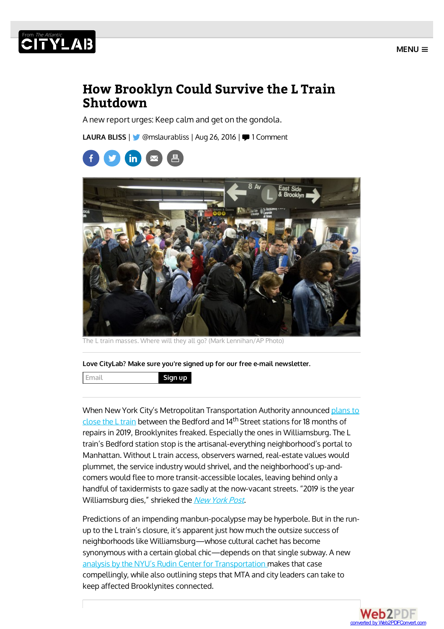

# **THE AREA**

## **How Brooklyn Could Survive the L Train Shutdown**

A new report urges: Keep calm and get on the gondola.

[LAURA](http://www.citylab.com/authors/laura-bliss/) BLISS | **W** [@mslaurabliss](https://twitter.com/intent/user?screen_name=mslaurabliss) | Aug 26, 2016 | 1 [Comment](#page-6-0)





The L train masses. Where will they all go? (Mark Lennihan/AP Photo)

**Love CityLab? Make sure you're signed up for our free e-mail newsletter.**

**Email Sign up**

When New York City's Metropolitan Transportation Authority announced plans to close the L train between the Bedford and 14<sup>th</sup> Street stations for 18 months of repairs in 2019, Brooklynites freaked. Especially the ones in Williamsburg. The L train's Bedford station stop is the artisanal-everything neighborhood's portal to Manhattan. Without L train access, observers warned, real-estate values would plummet, the service industry would shrivel, and the neighborhood's up-andcomers would flee to more transit-accessible locales, leaving behind only a handful of taxidermists to gaze sadly at the now-vacant streets. "2019 is the year Williamsburg dies," shrieked the New [York](http://nypost.com/2016/07/25/the-l-train-will-shut-down-for-18-months-in-2019/) Post.

Predictions of an impending manbun-pocalypse may be hyperbole. But in the runup to the L train's closure, it's apparent just how much the outsize success of neighborhoods like Williamsburg—whose cultural cachet has become synonymous with a certain global chic—depends on that single subway. A new analysis by the NYU's Rudin Center for Transportation makes that case compellingly, while also outlining steps that MTA and city leaders can take to keep affected Brooklynites connected.

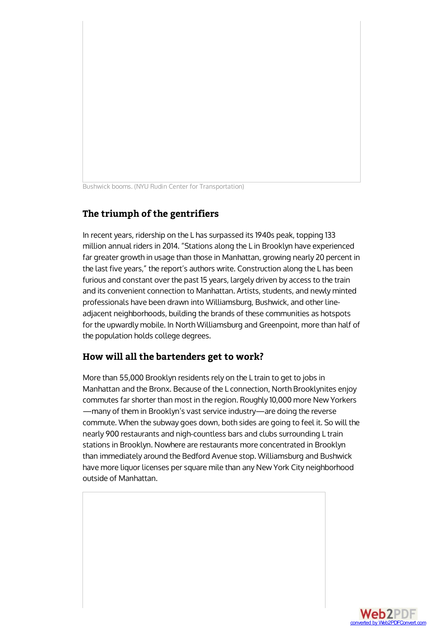Bushwick booms. (NYU Rudin Center for Transportation)

### **The triumph of the gentrifiers**

In recent years, ridership on the L has surpassed its 1940s peak, topping 133 million annual riders in 2014. "Stations along the L in Brooklyn have experienced far greater growth in usage than those in Manhattan, growing nearly 20 percent in the last five years," the report's authors write. Construction along the L has been furious and constant over the past 15 years, largely driven by access to the train and its convenient connection to Manhattan. Artists, students, and newly minted professionals have been drawn into Williamsburg, Bushwick, and other lineadjacent neighborhoods, building the brands of these communities as hotspots for the upwardly mobile. In North Williamsburg and Greenpoint, more than half of the population holds college degrees.

#### **How will all the bartenders get to work?**

More than 55,000 Brooklyn residents rely on the L train to get to jobs in Manhattan and the Bronx. Because of the L connection, North Brooklynites enjoy commutes far shorter than most in the region. Roughly 10,000 more New Yorkers —many of them in Brooklyn's vast service industry—are doing the reverse commute. When the subway goes down, both sides are going to feel it. So will the nearly 900 restaurants and nigh-countless bars and clubs surrounding L train stations in Brooklyn. Nowhere are restaurants more concentrated in Brooklyn than immediately around the Bedford Avenue stop. Williamsburg and Bushwick have more liquor licenses per square mile than any New York City neighborhood outside of Manhattan.

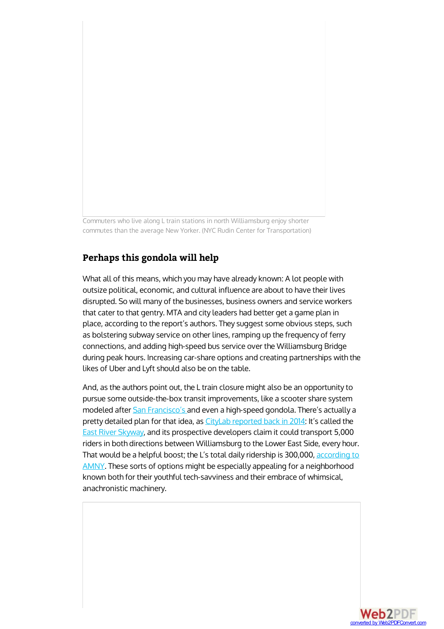Commuters who live along L train stations in north Williamsburg enjoy shorter commutes than the average New Yorker. (NYC Rudin Center for Transportation)

#### **Perhaps this gondola will help**

What all of this means, which you may have already known: A lot people with outsize political, economic, and cultural influence are about to have their lives disrupted. So will many of the businesses, business owners and service workers that cater to that gentry. MTA and city leaders had better get a game plan in place, according to the report's authors. They suggest some obvious steps, such as bolstering subway service on other lines, ramping up the frequency of ferry connections, and adding high-speed bus service over the Williamsburg Bridge during peak hours. Increasing car-share options and creating partnerships with the likes of Uber and Lyft should also be on the table.

And, as the authors point out, the L train closure might also be an opportunity to pursue some outside-the-box transit improvements, like a scooter share system modeled after San [Francisco's](https://www.fastcoexist.com/1679472/the-zipcar-of-electric-scooters-is-coming-to-san-francisco) and even a high-speed gondola. There's actually a pretty detailed plan for that idea, as CityLab [reported](http://www.citylab.com/commute/2014/09/next-up-for-brooklyn-an-urban-gondola/380245/) back in 2014: It's called the East River [Skyway](http://www.citylab.com/commute/2014/09/next-up-for-brooklyn-an-urban-gondola/380245/), and its prospective developers claim it could transport 5,000 riders in both directions between Williamsburg to the Lower East Side, every hour. That would be a helpful boost; the L's total daily ridership is 300,000, according to AMNY. These sorts of options might be especially appealing for a neighborhood known both for their youthful tech-savviness and their embrace of whimsical, anachronistic machinery.